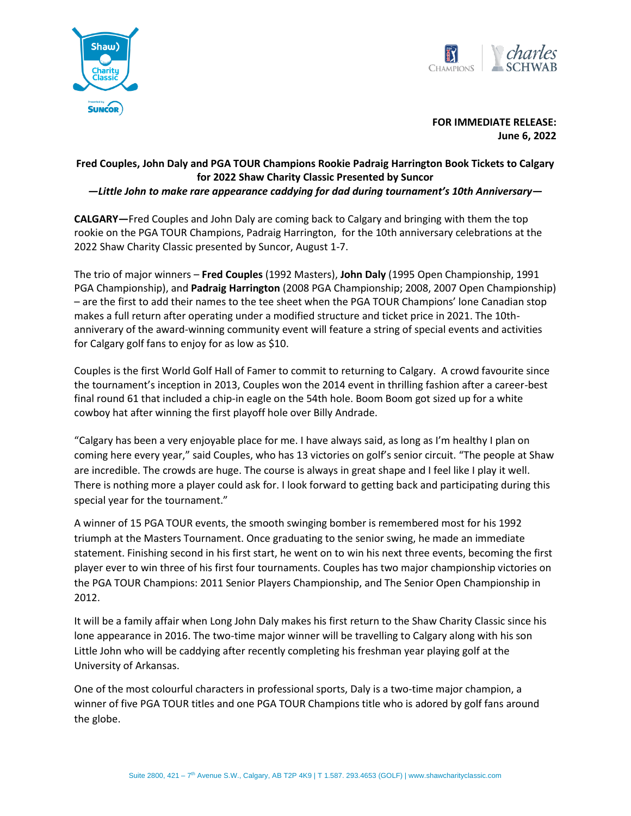



**FOR IMMEDIATE RELEASE: June 6, 2022**

## **Fred Couples, John Daly and PGA TOUR Champions Rookie Padraig Harrington Book Tickets to Calgary for 2022 Shaw Charity Classic Presented by Suncor**

*—Little John to make rare appearance caddying for dad during tournament's 10th Anniversary—*

**CALGARY—**Fred Couples and John Daly are coming back to Calgary and bringing with them the top rookie on the PGA TOUR Champions, Padraig Harrington, for the 10th anniversary celebrations at the 2022 Shaw Charity Classic presented by Suncor, August 1-7.

The trio of major winners – **Fred Couples** (1992 Masters), **John Daly** (1995 Open Championship, 1991 PGA Championship), and **Padraig Harrington** (2008 PGA Championship; 2008, 2007 Open Championship) – are the first to add their names to the tee sheet when the PGA TOUR Champions' lone Canadian stop makes a full return after operating under a modified structure and ticket price in 2021. The 10thanniverary of the award-winning community event will feature a string of special events and activities for Calgary golf fans to enjoy for as low as \$10.

Couples is the first World Golf Hall of Famer to commit to returning to Calgary. A crowd favourite since the tournament's inception in 2013, Couples won the 2014 event in thrilling fashion after a career-best final round 61 that included a chip-in eagle on the 54th hole. Boom Boom got sized up for a white cowboy hat after winning the first playoff hole over Billy Andrade.

"Calgary has been a very enjoyable place for me. I have always said, as long as I'm healthy I plan on coming here every year," said Couples, who has 13 victories on golf's senior circuit. "The people at Shaw are incredible. The crowds are huge. The course is always in great shape and I feel like I play it well. There is nothing more a player could ask for. I look forward to getting back and participating during this special year for the tournament."

A winner of 15 PGA TOUR events, the smooth swinging bomber is remembered most for his 1992 triumph at the Masters Tournament. Once graduating to the senior swing, he made an immediate statement. Finishing second in his first start, he went on to win his next three events, becoming the first player ever to win three of his first four tournaments. Couples has two major championship victories on the PGA TOUR Champions: 2011 Senior Players Championship, and The Senior Open Championship in 2012.

It will be a family affair when Long John Daly makes his first return to the Shaw Charity Classic since his lone appearance in 2016. The two-time major winner will be travelling to Calgary along with his son Little John who will be caddying after recently completing his freshman year playing golf at the University of Arkansas.

One of the most colourful characters in professional sports, Daly is a two-time major champion, a winner of five PGA TOUR titles and one PGA TOUR Champions title who is adored by golf fans around the globe.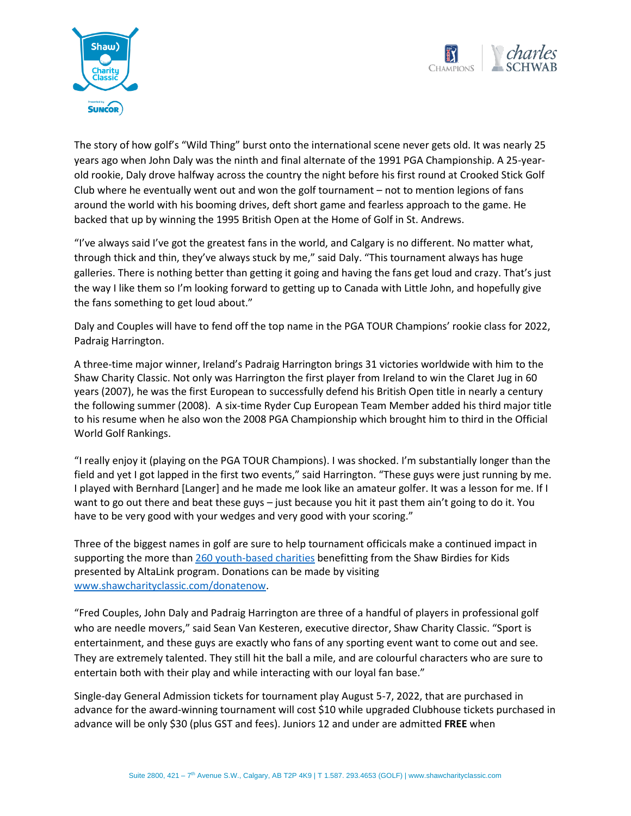



The story of how golf's "Wild Thing" burst onto the international scene never gets old. It was nearly 25 years ago when John Daly was the ninth and final alternate of the 1991 PGA Championship. A 25-yearold rookie, Daly drove halfway across the country the night before his first round at Crooked Stick Golf Club where he eventually went out and won the golf tournament – not to mention legions of fans around the world with his booming drives, deft short game and fearless approach to the game. He backed that up by winning the 1995 British Open at the Home of Golf in St. Andrews.

"I've always said I've got the greatest fans in the world, and Calgary is no different. No matter what, through thick and thin, they've always stuck by me," said Daly. "This tournament always has huge galleries. There is nothing better than getting it going and having the fans get loud and crazy. That's just the way I like them so I'm looking forward to getting up to Canada with Little John, and hopefully give the fans something to get loud about."

Daly and Couples will have to fend off the top name in the PGA TOUR Champions' rookie class for 2022, Padraig Harrington.

A three-time major winner, Ireland's Padraig Harrington brings 31 victories worldwide with him to the Shaw Charity Classic. Not only was Harrington the first player from Ireland to win the Claret Jug in 60 years (2007), he was the first European to successfully defend his British Open title in nearly a century the following summer (2008). A six-time Ryder Cup European Team Member added his third major title to his resume when he also won the 2008 PGA Championship which brought him to third in the Official World Golf Rankings.

"I really enjoy it (playing on the PGA TOUR Champions). I was shocked. I'm substantially longer than the field and yet I got lapped in the first two events," said Harrington. "These guys were just running by me. I played with Bernhard [Langer] and he made me look like an amateur golfer. It was a lesson for me. If I want to go out there and beat these guys – just because you hit it past them ain't going to do it. You have to be very good with your wedges and very good with your scoring."

Three of the biggest names in golf are sure to help tournament officicals make a continued impact in supporting the more tha[n 260 youth-based charities](https://shawcharityclassic.com/participating-charities/) benefitting from the Shaw Birdies for Kids presented by AltaLink program. Donations can be made by visiting [www.shawcharityclassic.com/donatenow.](http://www.shawcharityclassic.com/donatenow)

"Fred Couples, John Daly and Padraig Harrington are three of a handful of players in professional golf who are needle movers," said Sean Van Kesteren, executive director, Shaw Charity Classic. "Sport is entertainment, and these guys are exactly who fans of any sporting event want to come out and see. They are extremely talented. They still hit the ball a mile, and are colourful characters who are sure to entertain both with their play and while interacting with our loyal fan base."

Single-day General Admission tickets for tournament play August 5-7, 2022, that are purchased in advance for the award-winning tournament will cost \$10 while upgraded Clubhouse tickets purchased in advance will be only \$30 (plus GST and fees). Juniors 12 and under are admitted **FREE** when